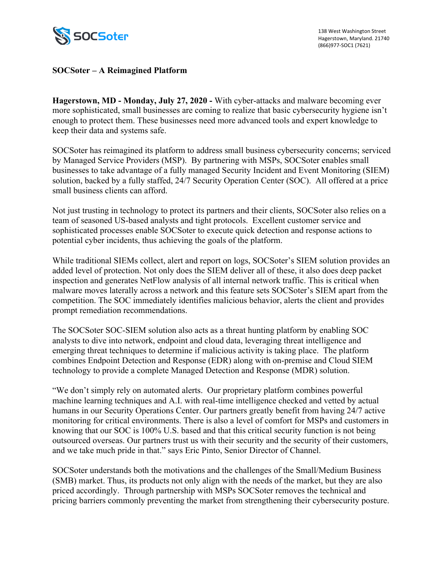

## **SOCSoter – A Reimagined Platform**

**Hagerstown, MD - Monday, July 27, 2020 -** With cyber-attacks and malware becoming ever more sophisticated, small businesses are coming to realize that basic cybersecurity hygiene isn't enough to protect them. These businesses need more advanced tools and expert knowledge to keep their data and systems safe.

SOCSoter has reimagined its platform to address small business cybersecurity concerns; serviced by Managed Service Providers (MSP). By partnering with MSPs, SOCSoter enables small businesses to take advantage of a fully managed Security Incident and Event Monitoring (SIEM) solution, backed by a fully staffed, 24/7 Security Operation Center (SOC). All offered at a price small business clients can afford.

Not just trusting in technology to protect its partners and their clients, SOCSoter also relies on a team of seasoned US-based analysts and tight protocols. Excellent customer service and sophisticated processes enable SOCSoter to execute quick detection and response actions to potential cyber incidents, thus achieving the goals of the platform.

While traditional SIEMs collect, alert and report on logs, SOCSoter's SIEM solution provides an added level of protection. Not only does the SIEM deliver all of these, it also does deep packet inspection and generates NetFlow analysis of all internal network traffic. This is critical when malware moves laterally across a network and this feature sets SOCSoter's SIEM apart from the competition. The SOC immediately identifies malicious behavior, alerts the client and provides prompt remediation recommendations.

The SOCSoter SOC-SIEM solution also acts as a threat hunting platform by enabling SOC analysts to dive into network, endpoint and cloud data, leveraging threat intelligence and emerging threat techniques to determine if malicious activity is taking place. The platform combines Endpoint Detection and Response (EDR) along with on-premise and Cloud SIEM technology to provide a complete Managed Detection and Response (MDR) solution.

"We don't simply rely on automated alerts. Our proprietary platform combines powerful machine learning techniques and A.I. with real-time intelligence checked and vetted by actual humans in our Security Operations Center. Our partners greatly benefit from having 24/7 active monitoring for critical environments. There is also a level of comfort for MSPs and customers in knowing that our SOC is 100% U.S. based and that this critical security function is not being outsourced overseas. Our partners trust us with their security and the security of their customers, and we take much pride in that." says Eric Pinto, Senior Director of Channel.

SOCSoter understands both the motivations and the challenges of the Small/Medium Business (SMB) market. Thus, its products not only align with the needs of the market, but they are also priced accordingly. Through partnership with MSPs SOCSoter removes the technical and pricing barriers commonly preventing the market from strengthening their cybersecurity posture.